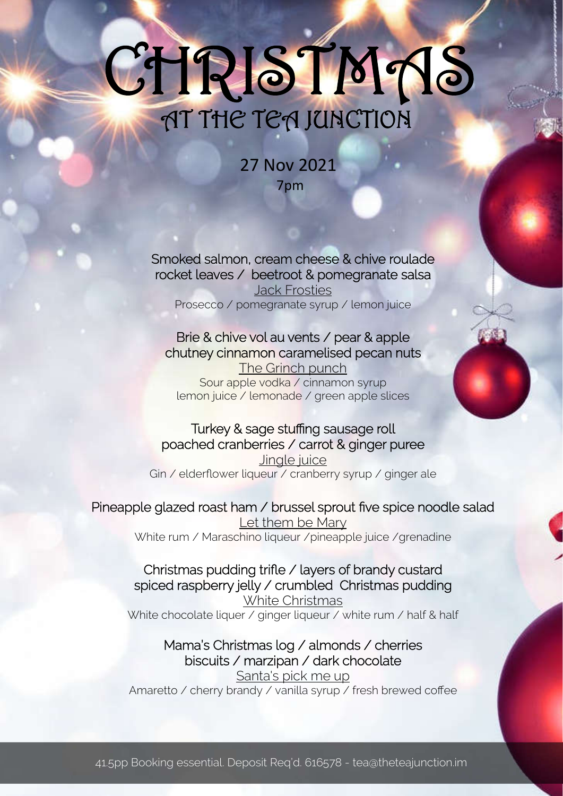# AT THE TEA JUNCTION CHRISTM18

27 Nov 2021 7pm

Smoked salmon, cream cheese & chive roulade rocket leaves / beetroot & pomegranate salsa Jack Frosties Prosecco / pomegranate syrup / lemon juice

## Brie & chive vol au vents / pear & apple chutney cinnamon caramelised pecan nuts

The Grinch punch Sour apple vodka / cinnamon syrup lemon juice / lemonade / green apple slices

### Turkey & sage stuffing sausage roll poached cranberries / carrot & ginger puree Jingle juice Gin / elderflower liqueur / cranberry syrup / ginger ale

Pineapple glazed roast ham / brussel sprout five spice noodle salad

Let them be Mary White rum / Maraschino liqueur / pineapple juice / grenadine

### Christmas pudding trifle / layers of brandy custard spiced raspberry jelly / crumbled Christmas pudding White Christmas

White chocolate liquer / ginger liqueur  $\overline{Z}$  white rum / half & half

## Mama's Christmas log / almonds / cherries biscuits / marzipan / dark chocolate Santa's pick me up

Amaretto / cherry brandy / vanilla syrup / fresh brewed coffee